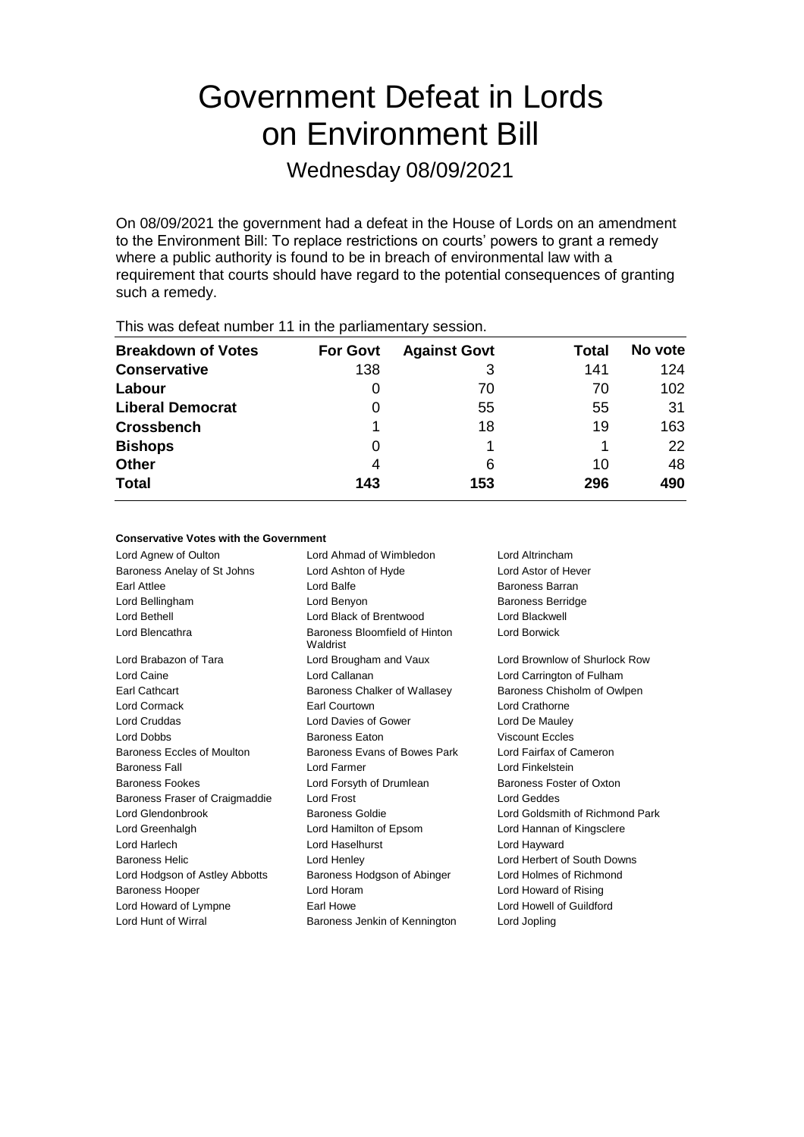# Government Defeat in Lords on Environment Bill

Wednesday 08/09/2021

On 08/09/2021 the government had a defeat in the House of Lords on an amendment to the Environment Bill: To replace restrictions on courts' powers to grant a remedy where a public authority is found to be in breach of environmental law with a requirement that courts should have regard to the potential consequences of granting such a remedy.

| This was abloat harmoof The the partiamontal y opportun |                 |                     |       |         |  |
|---------------------------------------------------------|-----------------|---------------------|-------|---------|--|
| <b>Breakdown of Votes</b>                               | <b>For Govt</b> | <b>Against Govt</b> | Total | No vote |  |
| <b>Conservative</b>                                     | 138             | 3                   | 141   | 124     |  |
| Labour                                                  | 0               | 70                  | 70    | 102     |  |
| <b>Liberal Democrat</b>                                 | 0               | 55                  | 55    | 31      |  |
| <b>Crossbench</b>                                       |                 | 18                  | 19    | 163     |  |
| <b>Bishops</b>                                          | O               |                     |       | 22      |  |
| <b>Other</b>                                            | 4               | 6                   | 10    | 48      |  |
| <b>Total</b>                                            | 143             | 153                 | 296   | 490     |  |
|                                                         |                 |                     |       |         |  |

This was defeat number 11 in the parliamentary session.

### **Conservative Votes with the Government**

Lord Agnew of Oulton Lord Ahmad of Wimbledon Lord Altrincham Baroness Anelay of St Johns Lord Ashton of Hyde Lord Astor of Hever Earl Attlee **Lord Balfe** Lord Balfe **Baroness Barran** Lord Bellingham Lord Benyon Baroness Berridge Lord Bethell Lord Black of Brentwood Lord Blackwell Lord Blencathra Baroness Bloomfield of Hinton Waldrist Lord Borwick Lord Brabazon of Tara Lord Brougham and Vaux Lord Brownlow of Shurlock Row Lord Caine Lord Callanan Lord Carrington of Fulham Earl Cathcart Baroness Chalker of Wallasey Baroness Chisholm of Owlpen Lord Cormack Earl Courtown Lord Crathorne Lord Cruddas Lord Davies of Gower Lord De Mauley Lord Dobbs Baroness Eaton Viscount Eccles Baroness Eccles of Moulton Baroness Evans of Bowes Park Lord Fairfax of Cameron Baroness Fall Lord Farmer Lord Finkelstein Baroness Fookes **Lord Forsyth of Drumlean** Baroness Foster of Oxton Baroness Fraser of Craigmaddie Lord Frost Lord Geddes Lord Geddes Lord Glendonbrook Baroness Goldie Lord Goldsmith of Richmond Park Lord Greenhalgh Lord Hamilton of Epsom Lord Hannan of Kingsclere Lord Harlech Lord Haselhurst Lord Hayward Baroness Helic Lord Henley Lord Herbert of South Downs Lord Hodgson of Astley Abbotts Baroness Hodgson of Abinger Lord Holmes of Richmond Baroness Hooper Lord Horam Lord Howard of Rising Lord Howard of Lympne **Earl Howe** Earl Howe Lord Howell of Guildford Lord Hunt of Wirral **Baroness Jenkin of Kennington** Lord Jopling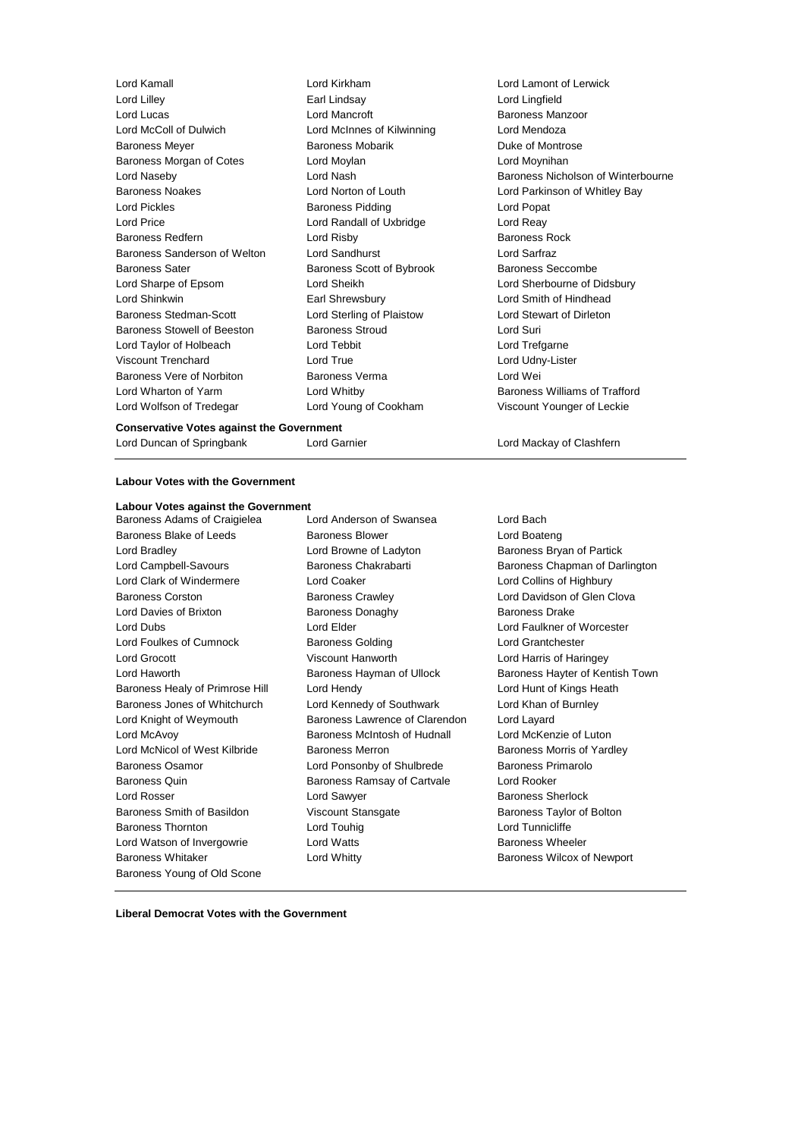Lord Lilley Earl Lindsay Lord Lingfield Lord McColl of Dulwich Lord McInnes of Kilwinning Lord Mendoza<br>
Baroness Meyer Baroness Mobarik Duke of Montr Baroness Morgan of Cotes **Lord Moylan** Lord Moynihan Baroness Noakes **Lord Norton of Louth** Lord Parkinson of Whitley Bay Lord Pickles Baroness Pidding Lord Popat Lord Price Lord Randall of Uxbridge Lord Reay Baroness Redfern Lord Risby Baroness Rock Baroness Sanderson of Welton Lord Sandhurst Lord Sarfraz Baroness Sater **Baroness Scott of Bybrook** Baroness Seccombe Lord Sharpe of Epsom Lord Sheikh Lord Sherbourne of Didsbury Lord Shinkwin Earl Shrewsbury Lord Smith of Hindhead Baroness Stedman-Scott Lord Sterling of Plaistow Lord Stewart of Dirleton Baroness Stowell of Beeston Baroness Stroud Cord Suri Lord Taylor of Holbeach Lord Tebbit Lord Trefgarne Viscount Trenchard Lord True Lord Udny-Lister Baroness Vere of Norbiton Baroness Verma Controller Lord Wei Lord Wharton of Yarm **Lord Whitby Baroness Williams of Trafford Communisty** Lord Wolfson of Tredegar Lord Young of Cookham Viscount Younger of Leckie

Lord Kamall Lord Kirkham Lord Lamont of Lerwick Lord Mancroft **Baroness Manzoor** Baroness Mobarik **Baroness Mobaris** Baroness Mobarik **Duke of Montrose** 

Lord Naseby **Lord Nash Baroness Nicholson of Winterbourne** 

#### **Conservative Votes against the Government**

Lord Duncan of Springbank Lord Garnier Lord Mackay of Clashfern

### **Labour Votes with the Government**

#### **Labour Votes against the Government**

Baroness Adams of Craigielea Lord Anderson of Swansea Lord Bach Baroness Blake of Leeds **Baroness Blower** Baroness Blower **Lord Boateng** Lord Bradley **Lord Browne of Ladyton** Baroness Bryan of Partick Lord Campbell-Savours **Baroness Chakrabarti** Baroness Chapman of Darlington Lord Clark of Windermere Lord Coaker Lord Collins of Highbury Baroness Corston **Baroness Crawley Baroness Crawley Lord Davidson of Glen Clova** Lord Davies of Brixton **Baroness Donaghy** Baroness Davies Drake Lord Dubs Lord Elder Lord Faulkner of Worcester Lord Foulkes of Cumnock **Baroness Golding Baroness Golding** Lord Grantchester Lord Grocott Viscount Hanworth Lord Harris of Haringey Lord Haworth **Baroness Hayman of Ullock** Baroness Hayter of Kentish Town Baroness Healy of Primrose Hill Lord Hendy Lord Hunt of Kings Heath Baroness Jones of Whitchurch Lord Kennedy of Southwark Lord Khan of Burnley Lord Knight of Weymouth Baroness Lawrence of Clarendon Lord Layard Lord McAvoy Baroness McIntosh of Hudnall Lord McKenzie of Luton Lord McNicol of West Kilbride Baroness Merron Baroness Morris of Yardley Baroness Osamor Lord Ponsonby of Shulbrede Baroness Primarolo Baroness Quin Baroness Ramsay of Cartvale Lord Rooker Lord Rosser Lord Sawyer Baroness Sherlock Baroness Smith of Basildon Viscount Stansgate Baroness Taylor of Bolton Baroness Thornton **Lord Touhig** Lord Touhig Lord Tunnicliffe Lord Watson of Invergowrie **Lord Watts Baroness Wheeler** Baroness Whitaker **Lord Whitty Lord Whitty** Baroness Wilcox of Newport Baroness Young of Old Scone

- 
- 

**Liberal Democrat Votes with the Government**